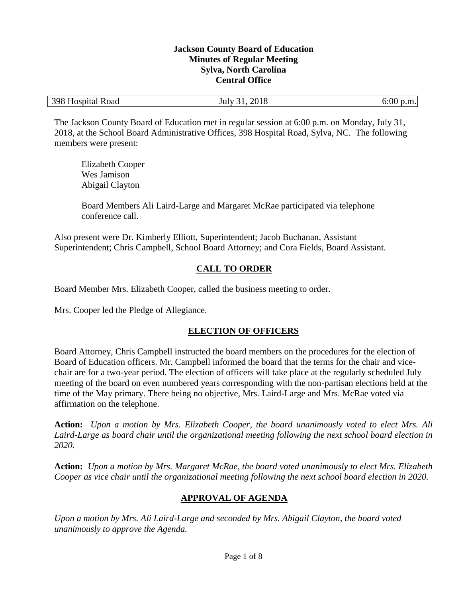#### **Jackson County Board of Education Minutes of Regular Meeting Sylva, North Carolina Central Office**

| 398 Hospital Road | 2018<br>31.<br>July | $6:00$ p.m. |
|-------------------|---------------------|-------------|
|-------------------|---------------------|-------------|

The Jackson County Board of Education met in regular session at 6:00 p.m. on Monday, July 31, 2018, at the School Board Administrative Offices, 398 Hospital Road, Sylva, NC. The following members were present:

Elizabeth Cooper Wes Jamison Abigail Clayton

Board Members Ali Laird-Large and Margaret McRae participated via telephone conference call.

Also present were Dr. Kimberly Elliott, Superintendent; Jacob Buchanan, Assistant Superintendent; Chris Campbell, School Board Attorney; and Cora Fields, Board Assistant.

# **CALL TO ORDER**

Board Member Mrs. Elizabeth Cooper, called the business meeting to order.

Mrs. Cooper led the Pledge of Allegiance.

## **ELECTION OF OFFICERS**

Board Attorney, Chris Campbell instructed the board members on the procedures for the election of Board of Education officers. Mr. Campbell informed the board that the terms for the chair and vicechair are for a two-year period. The election of officers will take place at the regularly scheduled July meeting of the board on even numbered years corresponding with the non-partisan elections held at the time of the May primary. There being no objective, Mrs. Laird-Large and Mrs. McRae voted via affirmation on the telephone.

**Action:** *Upon a motion by Mrs. Elizabeth Cooper, the board unanimously voted to elect Mrs. Ali Laird-Large as board chair until the organizational meeting following the next school board election in 2020.*

**Action:** *Upon a motion by Mrs. Margaret McRae, the board voted unanimously to elect Mrs. Elizabeth Cooper as vice chair until the organizational meeting following the next school board election in 2020.*

## **APPROVAL OF AGENDA**

*Upon a motion by Mrs. Ali Laird-Large and seconded by Mrs. Abigail Clayton, the board voted unanimously to approve the Agenda.*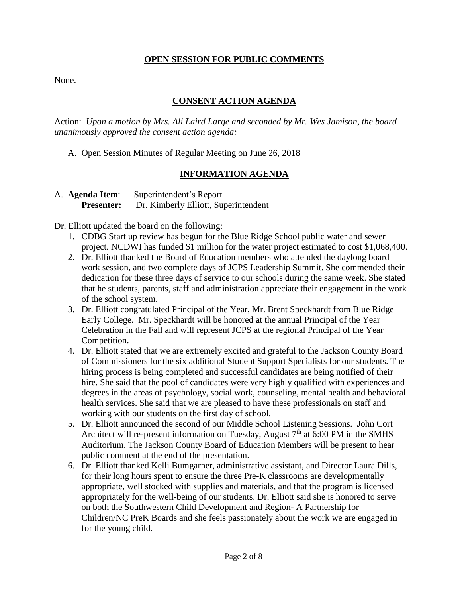#### **OPEN SESSION FOR PUBLIC COMMENTS**

None.

### **CONSENT ACTION AGENDA**

Action: *Upon a motion by Mrs. Ali Laird Large and seconded by Mr. Wes Jamison, the board unanimously approved the consent action agenda:*

A. Open Session Minutes of Regular Meeting on June 26, 2018

#### **INFORMATION AGENDA**

| A. <b>Agenda Item</b> : | Superintendent's Report              |
|-------------------------|--------------------------------------|
| <b>Presenter:</b>       | Dr. Kimberly Elliott, Superintendent |

Dr. Elliott updated the board on the following:

- 1. CDBG Start up review has begun for the Blue Ridge School public water and sewer project. NCDWI has funded \$1 million for the water project estimated to cost \$1,068,400.
- 2. Dr. Elliott thanked the Board of Education members who attended the daylong board work session, and two complete days of JCPS Leadership Summit. She commended their dedication for these three days of service to our schools during the same week. She stated that he students, parents, staff and administration appreciate their engagement in the work of the school system.
- 3. Dr. Elliott congratulated Principal of the Year, Mr. Brent Speckhardt from Blue Ridge Early College. Mr. Speckhardt will be honored at the annual Principal of the Year Celebration in the Fall and will represent JCPS at the regional Principal of the Year Competition.
- 4. Dr. Elliott stated that we are extremely excited and grateful to the Jackson County Board of Commissioners for the six additional Student Support Specialists for our students. The hiring process is being completed and successful candidates are being notified of their hire. She said that the pool of candidates were very highly qualified with experiences and degrees in the areas of psychology, social work, counseling, mental health and behavioral health services. She said that we are pleased to have these professionals on staff and working with our students on the first day of school.
- 5. Dr. Elliott announced the second of our Middle School Listening Sessions. John Cort Architect will re-present information on Tuesday, August  $7<sup>th</sup>$  at 6:00 PM in the SMHS Auditorium. The Jackson County Board of Education Members will be present to hear public comment at the end of the presentation.
- 6. Dr. Elliott thanked Kelli Bumgarner, administrative assistant, and Director Laura Dills, for their long hours spent to ensure the three Pre-K classrooms are developmentally appropriate, well stocked with supplies and materials, and that the program is licensed appropriately for the well-being of our students. Dr. Elliott said she is honored to serve on both the Southwestern Child Development and Region- A Partnership for Children/NC PreK Boards and she feels passionately about the work we are engaged in for the young child.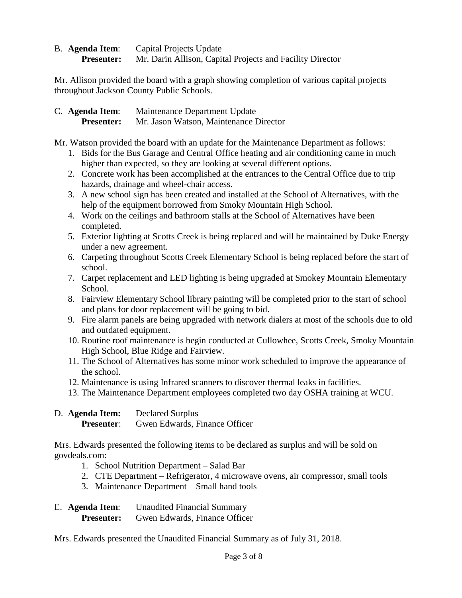B. **Agenda Item**: Capital Projects Update **Presenter:** Mr. Darin Allison, Capital Projects and Facility Director

Mr. Allison provided the board with a graph showing completion of various capital projects throughout Jackson County Public Schools.

C. **Agenda Item**: Maintenance Department Update **Presenter:** Mr. Jason Watson, Maintenance Director

Mr. Watson provided the board with an update for the Maintenance Department as follows:

- 1. Bids for the Bus Garage and Central Office heating and air conditioning came in much higher than expected, so they are looking at several different options.
- 2. Concrete work has been accomplished at the entrances to the Central Office due to trip hazards, drainage and wheel-chair access.
- 3. A new school sign has been created and installed at the School of Alternatives, with the help of the equipment borrowed from Smoky Mountain High School.
- 4. Work on the ceilings and bathroom stalls at the School of Alternatives have been completed.
- 5. Exterior lighting at Scotts Creek is being replaced and will be maintained by Duke Energy under a new agreement.
- 6. Carpeting throughout Scotts Creek Elementary School is being replaced before the start of school.
- 7. Carpet replacement and LED lighting is being upgraded at Smokey Mountain Elementary School.
- 8. Fairview Elementary School library painting will be completed prior to the start of school and plans for door replacement will be going to bid.
- 9. Fire alarm panels are being upgraded with network dialers at most of the schools due to old and outdated equipment.
- 10. Routine roof maintenance is begin conducted at Cullowhee, Scotts Creek, Smoky Mountain High School, Blue Ridge and Fairview.
- 11. The School of Alternatives has some minor work scheduled to improve the appearance of the school.
- 12. Maintenance is using Infrared scanners to discover thermal leaks in facilities.
- 13. The Maintenance Department employees completed two day OSHA training at WCU.

| D. Agenda Item:   | <b>Declared Surplus</b>       |  |
|-------------------|-------------------------------|--|
| <b>Presenter:</b> | Gwen Edwards, Finance Officer |  |

Mrs. Edwards presented the following items to be declared as surplus and will be sold on govdeals.com:

- 1. School Nutrition Department Salad Bar
- 2. CTE Department Refrigerator, 4 microwave ovens, air compressor, small tools
- 3. Maintenance Department Small hand tools

| E. Agenda Item:   | <b>Unaudited Financial Summary</b> |  |
|-------------------|------------------------------------|--|
| <b>Presenter:</b> | Gwen Edwards, Finance Officer      |  |

Mrs. Edwards presented the Unaudited Financial Summary as of July 31, 2018.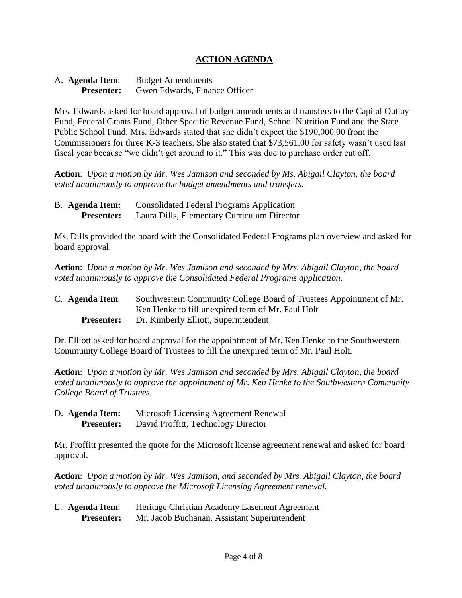### **ACTION AGENDA**

| A. <b>Agenda Item</b> : | <b>Budget Amendments</b>      |  |
|-------------------------|-------------------------------|--|
| <b>Presenter:</b>       | Gwen Edwards, Finance Officer |  |

Mrs. Edwards asked for board approval of budget amendments and transfers to the Capital Outlay Fund, Federal Grants Fund, Other Specific Revenue Fund, School Nutrition Fund and the State Public School Fund. Mrs. Edwards stated that she didn't expect the \$190,000.00 from the Commissioners for three K-3 teachers. She also stated that \$73,561.00 for safety wasn't used last fiscal year because "we didn't get around to it." This was due to purchase order cut off.

**Action**: *Upon a motion by Mr. Wes Jamison and seconded by Ms. Abigail Clayton, the board voted unanimously to approve the budget amendments and transfers.*

B. **Agenda Item:** Consolidated Federal Programs Application **Presenter:** Laura Dills, Elementary Curriculum Director

Ms. Dills provided the board with the Consolidated Federal Programs plan overview and asked for board approval.

**Action**: *Upon a motion by Mr. Wes Jamison and seconded by Mrs. Abigail Clayton, the board voted unanimously to approve the Consolidated Federal Programs application.*

| C. Agenda Item:   | Southwestern Community College Board of Trustees Appointment of Mr. |
|-------------------|---------------------------------------------------------------------|
|                   | Ken Henke to fill unexpired term of Mr. Paul Holt                   |
| <b>Presenter:</b> | Dr. Kimberly Elliott, Superintendent                                |

Dr. Elliott asked for board approval for the appointment of Mr. Ken Henke to the Southwestern Community College Board of Trustees to fill the unexpired term of Mr. Paul Holt.

**Action**: *Upon a motion by Mr. Wes Jamison and seconded by Mrs. Abigail Clayton, the board voted unanimously to approve the appointment of Mr. Ken Henke to the Southwestern Community College Board of Trustees.*

| D. Agenda Item: |                   | Microsoft Licensing Agreement Renewal |
|-----------------|-------------------|---------------------------------------|
|                 | <b>Presenter:</b> | David Proffitt, Technology Director   |

Mr. Proffitt presented the quote for the Microsoft license agreement renewal and asked for board approval.

**Action**: *Upon a motion by Mr. Wes Jamison, and seconded by Mrs. Abigail Clayton, the board voted unanimously to approve the Microsoft Licensing Agreement renewal.* 

| E. Agenda Item:   | Heritage Christian Academy Easement Agreement |  |
|-------------------|-----------------------------------------------|--|
| <b>Presenter:</b> | Mr. Jacob Buchanan, Assistant Superintendent  |  |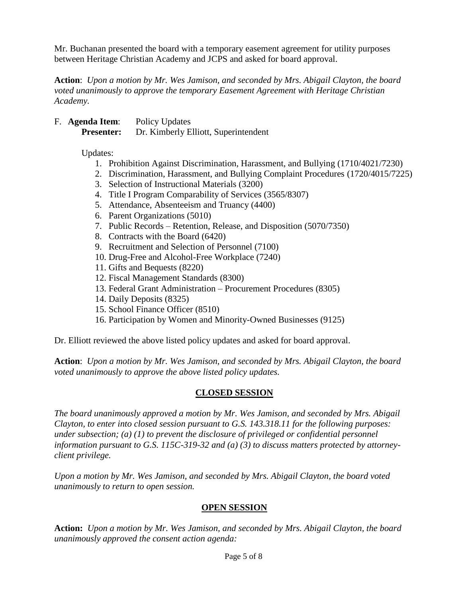Mr. Buchanan presented the board with a temporary easement agreement for utility purposes between Heritage Christian Academy and JCPS and asked for board approval.

**Action**: *Upon a motion by Mr. Wes Jamison, and seconded by Mrs. Abigail Clayton, the board voted unanimously to approve the temporary Easement Agreement with Heritage Christian Academy.*

F. **Agenda Item**: Policy Updates **Presenter:** Dr. Kimberly Elliott, Superintendent

Updates:

- 1. Prohibition Against Discrimination, Harassment, and Bullying (1710/4021/7230)
- 2. Discrimination, Harassment, and Bullying Complaint Procedures (1720/4015/7225)
- 3. Selection of Instructional Materials (3200)
- 4. Title I Program Comparability of Services (3565/8307)
- 5. Attendance, Absenteeism and Truancy (4400)
- 6. Parent Organizations (5010)
- 7. Public Records Retention, Release, and Disposition (5070/7350)
- 8. Contracts with the Board (6420)
- 9. Recruitment and Selection of Personnel (7100)
- 10. Drug-Free and Alcohol-Free Workplace (7240)
- 11. Gifts and Bequests (8220)
- 12. Fiscal Management Standards (8300)
- 13. Federal Grant Administration Procurement Procedures (8305)
- 14. Daily Deposits (8325)
- 15. School Finance Officer (8510)
- 16. Participation by Women and Minority-Owned Businesses (9125)

Dr. Elliott reviewed the above listed policy updates and asked for board approval.

**Action**: *Upon a motion by Mr. Wes Jamison, and seconded by Mrs. Abigail Clayton, the board voted unanimously to approve the above listed policy updates.*

## **CLOSED SESSION**

*The board unanimously approved a motion by Mr. Wes Jamison, and seconded by Mrs. Abigail Clayton, to enter into closed session pursuant to G.S. 143.318.11 for the following purposes: under subsection; (a) (1) to prevent the disclosure of privileged or confidential personnel information pursuant to G.S. 115C-319-32 and (a) (3) to discuss matters protected by attorneyclient privilege.* 

*Upon a motion by Mr. Wes Jamison, and seconded by Mrs. Abigail Clayton, the board voted unanimously to return to open session.*

## **OPEN SESSION**

**Action:** *Upon a motion by Mr. Wes Jamison, and seconded by Mrs. Abigail Clayton, the board unanimously approved the consent action agenda:*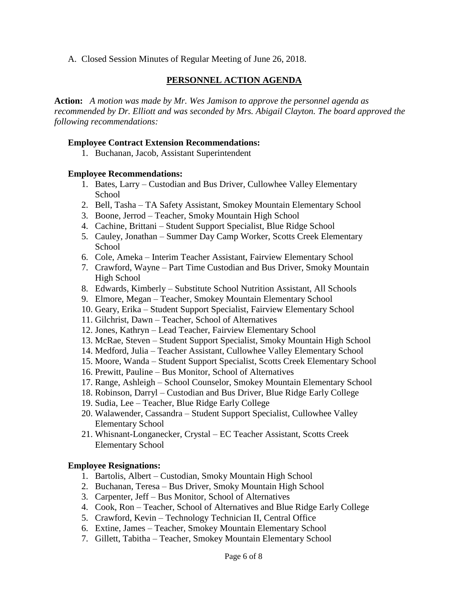A. Closed Session Minutes of Regular Meeting of June 26, 2018.

### **PERSONNEL ACTION AGENDA**

**Action:** *A motion was made by Mr. Wes Jamison to approve the personnel agenda as recommended by Dr. Elliott and was seconded by Mrs. Abigail Clayton. The board approved the following recommendations:*

#### **Employee Contract Extension Recommendations:**

1. Buchanan, Jacob, Assistant Superintendent

#### **Employee Recommendations:**

- 1. Bates, Larry Custodian and Bus Driver, Cullowhee Valley Elementary School
- 2. Bell, Tasha TA Safety Assistant, Smokey Mountain Elementary School
- 3. Boone, Jerrod Teacher, Smoky Mountain High School
- 4. Cachine, Brittani Student Support Specialist, Blue Ridge School
- 5. Cauley, Jonathan Summer Day Camp Worker, Scotts Creek Elementary **School**
- 6. Cole, Ameka Interim Teacher Assistant, Fairview Elementary School
- 7. Crawford, Wayne Part Time Custodian and Bus Driver, Smoky Mountain High School
- 8. Edwards, Kimberly Substitute School Nutrition Assistant, All Schools
- 9. Elmore, Megan Teacher, Smokey Mountain Elementary School
- 10. Geary, Erika Student Support Specialist, Fairview Elementary School
- 11. Gilchrist, Dawn Teacher, School of Alternatives
- 12. Jones, Kathryn Lead Teacher, Fairview Elementary School
- 13. McRae, Steven Student Support Specialist, Smoky Mountain High School
- 14. Medford, Julia Teacher Assistant, Cullowhee Valley Elementary School
- 15. Moore, Wanda Student Support Specialist, Scotts Creek Elementary School
- 16. Prewitt, Pauline Bus Monitor, School of Alternatives
- 17. Range, Ashleigh School Counselor, Smokey Mountain Elementary School
- 18. Robinson, Darryl Custodian and Bus Driver, Blue Ridge Early College
- 19. Sudia, Lee Teacher, Blue Ridge Early College
- 20. Walawender, Cassandra Student Support Specialist, Cullowhee Valley Elementary School
- 21. Whisnant-Longanecker, Crystal EC Teacher Assistant, Scotts Creek Elementary School

#### **Employee Resignations:**

- 1. Bartolis, Albert Custodian, Smoky Mountain High School
- 2. Buchanan, Teresa Bus Driver, Smoky Mountain High School
- 3. Carpenter, Jeff Bus Monitor, School of Alternatives
- 4. Cook, Ron Teacher, School of Alternatives and Blue Ridge Early College
- 5. Crawford, Kevin Technology Technician II, Central Office
- 6. Extine, James Teacher, Smokey Mountain Elementary School
- 7. Gillett, Tabitha Teacher, Smokey Mountain Elementary School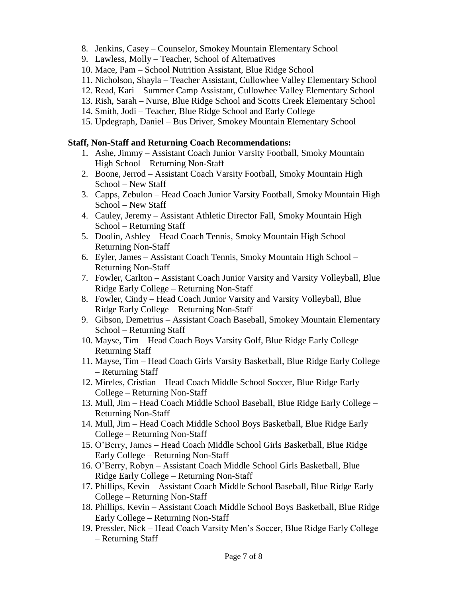- 8. Jenkins, Casey Counselor, Smokey Mountain Elementary School
- 9. Lawless, Molly Teacher, School of Alternatives
- 10. Mace, Pam School Nutrition Assistant, Blue Ridge School
- 11. Nicholson, Shayla Teacher Assistant, Cullowhee Valley Elementary School
- 12. Read, Kari Summer Camp Assistant, Cullowhee Valley Elementary School
- 13. Rish, Sarah Nurse, Blue Ridge School and Scotts Creek Elementary School
- 14. Smith, Jodi Teacher, Blue Ridge School and Early College
- 15. Updegraph, Daniel Bus Driver, Smokey Mountain Elementary School

#### **Staff, Non-Staff and Returning Coach Recommendations:**

- 1. Ashe, Jimmy Assistant Coach Junior Varsity Football, Smoky Mountain High School – Returning Non-Staff
- 2. Boone, Jerrod Assistant Coach Varsity Football, Smoky Mountain High School – New Staff
- 3. Capps, Zebulon Head Coach Junior Varsity Football, Smoky Mountain High School – New Staff
- 4. Cauley, Jeremy Assistant Athletic Director Fall, Smoky Mountain High School – Returning Staff
- 5. Doolin, Ashley Head Coach Tennis, Smoky Mountain High School Returning Non-Staff
- 6. Eyler, James Assistant Coach Tennis, Smoky Mountain High School Returning Non-Staff
- 7. Fowler, Carlton Assistant Coach Junior Varsity and Varsity Volleyball, Blue Ridge Early College – Returning Non-Staff
- 8. Fowler, Cindy Head Coach Junior Varsity and Varsity Volleyball, Blue Ridge Early College – Returning Non-Staff
- 9. Gibson, Demetrius Assistant Coach Baseball, Smokey Mountain Elementary School – Returning Staff
- 10. Mayse, Tim Head Coach Boys Varsity Golf, Blue Ridge Early College Returning Staff
- 11. Mayse, Tim Head Coach Girls Varsity Basketball, Blue Ridge Early College – Returning Staff
- 12. Mireles, Cristian Head Coach Middle School Soccer, Blue Ridge Early College – Returning Non-Staff
- 13. Mull, Jim Head Coach Middle School Baseball, Blue Ridge Early College Returning Non-Staff
- 14. Mull, Jim Head Coach Middle School Boys Basketball, Blue Ridge Early College – Returning Non-Staff
- 15. O'Berry, James Head Coach Middle School Girls Basketball, Blue Ridge Early College – Returning Non-Staff
- 16. O'Berry, Robyn Assistant Coach Middle School Girls Basketball, Blue Ridge Early College – Returning Non-Staff
- 17. Phillips, Kevin Assistant Coach Middle School Baseball, Blue Ridge Early College – Returning Non-Staff
- 18. Phillips, Kevin Assistant Coach Middle School Boys Basketball, Blue Ridge Early College – Returning Non-Staff
- 19. Pressler, Nick Head Coach Varsity Men's Soccer, Blue Ridge Early College – Returning Staff